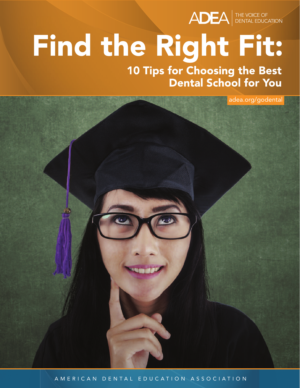

# Find the Right Fit:

10 Tips for Choosing the Best **Dental School for You** 

adea.org/godental

AMERICAN DENTAL EDUCATION ASSOCIATION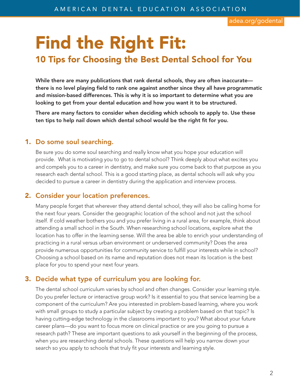adea.org/godental

## **Find the Right Fit:**

### **10 Tips for Choosing the Best Dental School for You**

**While there are many publications that rank dental schools, they are often inaccurate there is no level playing field to rank one against another since they all have programmatic and mission-based differences. This is why it is so important to determine what you are looking to get from your dental education and how you want it to be structured.**

**There are many factors to consider when deciding which schools to apply to. Use these ten tips to help nail down which dental school would be the right fit for you.**

#### **1. Do some soul searching.**

Be sure you do some soul searching and really know what you hope your education will provide. What is motivating you to go to dental school? Think deeply about what excites you and compels you to a career in dentistry, and make sure you come back to that purpose as you research each dental school. This is a good starting place, as dental schools will ask why you decided to pursue a career in dentistry during the application and interview process.

#### **2. Consider your location preferences.**

Many people forget that wherever they attend dental school, they will also be calling home for the next four years. Consider the geographic location of the school and not just the school itself. If cold weather bothers you and you prefer living in a rural area, for example, think about attending a small school in the South. When researching school locations, explore what the location has to offer in the learning sense. Will the area be able to enrich your understanding of practicing in a rural versus urban environment or underserved community? Does the area provide numerous opportunities for community service to fulfill your interests while in school? Choosing a school based on its name and reputation does not mean its location is the best place for you to spend your next four years.

#### **3. Decide what type of curriculum you are looking for.**

The dental school curriculum varies by school and often changes. Consider your learning style. Do you prefer lecture or interactive group work? Is it essential to you that service learning be a component of the curriculum? Are you interested in problem-based learning, where you work with small groups to study a particular subject by creating a problem based on that topic? Is having cutting-edge technology in the classrooms important to you? What about your future career plans—do you want to focus more on clinical practice or are you going to pursue a research path? These are important questions to ask yourself in the beginning of the process, when you are researching dental schools. These questions will help you narrow down your search so you apply to schools that truly fit your interests and learning style.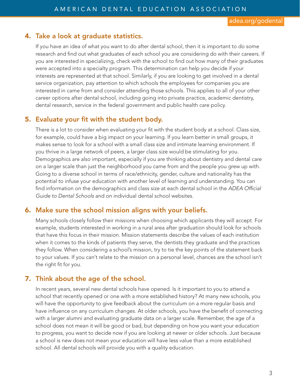#### **4. Take a look at graduate statistics.**

If you have an idea of what you want to do after dental school, then it is important to do some research and find out what graduates of each school you are considering do with their careers. If you are interested in specializing, check with the school to find out how many of their graduates were accepted into a specialty program. This determination can help you decide if your interests are represented at that school. Similarly, if you are looking to get involved in a dental service organization, pay attention to which schools the employees for companies you are interested in came from and consider attending those schools. This applies to all of your other career options after dental school, including going into private practice, academic dentistry, dental research, service in the federal government and public health care policy.

#### **5. Evaluate your fit with the student body.**

There is a lot to consider when evaluating your fit with the student body at a school. Class size, for example, could have a big impact on your learning. If you learn better in small groups, it makes sense to look for a school with a small class size and intimate learning environment. If you thrive in a large network of peers, a larger class size would be stimulating for you. Demographics are also important, especially if you are thinking about dentistry and dental care on a larger scale than just the neighborhood you came from and the people you grew up with. Going to a diverse school in terms of race/ethnicity, gender, culture and nationality has the potential to infuse your education with another level of learning and understanding. You can find information on the demographics and class size at each dental school in the *ADEA Official Guide to Dental Schools* and on individual dental school websites.

#### **6. Make sure the school mission aligns with your beliefs.**

Many schools closely follow their missions when choosing which applicants they will accept. For example, students interested in working in a rural area after graduation should look for schools that have this focus in their mission. Mission statements describe the values of each institution when it comes to the kinds of patients they serve, the dentists they graduate and the practices they follow. When considering a school's mission, try to tie the key points of the statement back to your values. If you can't relate to the mission on a personal level, chances are the school isn't the right fit for you.

#### **7. Think about the age of the school.**

In recent years, several new dental schools have opened. Is it important to you to attend a school that recently opened or one with a more established history? At many new schools, you will have the opportunity to give feedback about the curriculum on a more regular basis and have influence on any curriculum changes. At older schools, you have the benefit of connecting with a larger alumni and evaluating graduate data on a larger scale. Remember, the age of a school does not mean it will be good or bad, but depending on how you want your education to progress, you want to decide now if you are looking at newer or older schools. Just because a school is new does not mean your education will have less value than a more established school. All dental schools will provide you with a quality education.